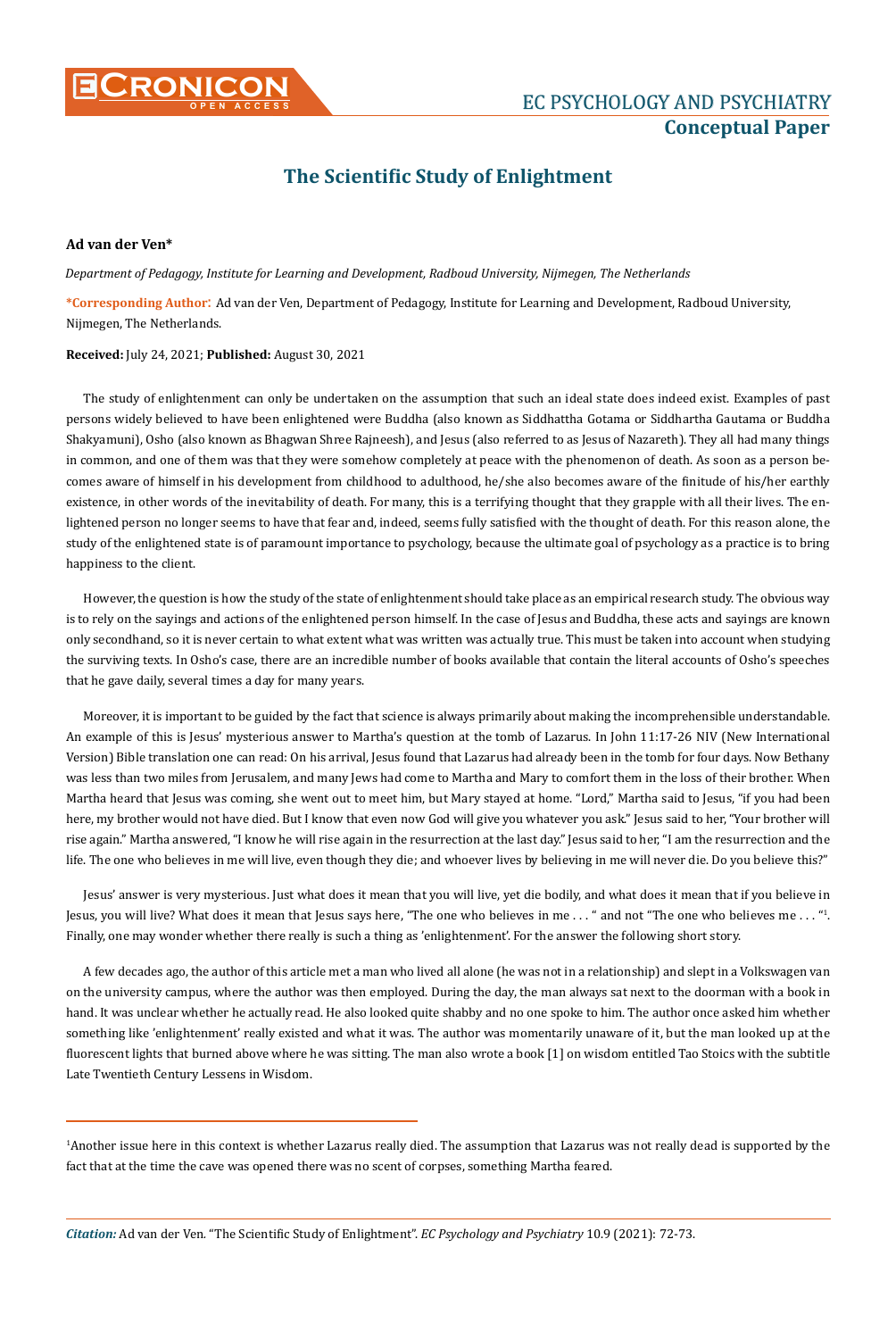

# **Conceptual Paper**

## **The Scientific Study of Enlightment**

#### **Ad van der Ven\***

*Department of Pedagogy, Institute for Learning and Development, Radboud University, Nijmegen, The Netherlands*

**\*Corresponding Author**: Ad van der Ven, Department of Pedagogy, Institute for Learning and Development, Radboud University, Nijmegen, The Netherlands.

#### **Received:** July 24, 2021; **Published:** August 30, 2021

The study of enlightenment can only be undertaken on the assumption that such an ideal state does indeed exist. Examples of past persons widely believed to have been enlightened were Buddha (also known as Siddhattha Gotama or Siddhartha Gautama or Buddha Shakyamuni), Osho (also known as Bhagwan Shree Rajneesh), and Jesus (also referred to as Jesus of Nazareth). They all had many things in common, and one of them was that they were somehow completely at peace with the phenomenon of death. As soon as a person becomes aware of himself in his development from childhood to adulthood, he/she also becomes aware of the finitude of his/her earthly existence, in other words of the inevitability of death. For many, this is a terrifying thought that they grapple with all their lives. The enlightened person no longer seems to have that fear and, indeed, seems fully satisfied with the thought of death. For this reason alone, the study of the enlightened state is of paramount importance to psychology, because the ultimate goal of psychology as a practice is to bring happiness to the client.

However, the question is how the study of the state of enlightenment should take place as an empirical research study. The obvious way is to rely on the sayings and actions of the enlightened person himself. In the case of Jesus and Buddha, these acts and sayings are known only secondhand, so it is never certain to what extent what was written was actually true. This must be taken into account when studying the surviving texts. In Osho's case, there are an incredible number of books available that contain the literal accounts of Osho's speeches that he gave daily, several times a day for many years.

Moreover, it is important to be guided by the fact that science is always primarily about making the incomprehensible understandable. An example of this is Jesus' mysterious answer to Martha's question at the tomb of Lazarus. In John 11:17-26 NIV (New International Version) Bible translation one can read: On his arrival, Jesus found that Lazarus had already been in the tomb for four days. Now Bethany was less than two miles from Jerusalem, and many Jews had come to Martha and Mary to comfort them in the loss of their brother. When Martha heard that Jesus was coming, she went out to meet him, but Mary stayed at home. "Lord," Martha said to Jesus, "if you had been here, my brother would not have died. But I know that even now God will give you whatever you ask." Jesus said to her, "Your brother will rise again." Martha answered, "I know he will rise again in the resurrection at the last day." Jesus said to her, "I am the resurrection and the life. The one who believes in me will live, even though they die; and whoever lives by believing in me will never die. Do you believe this?"

Jesus' answer is very mysterious. Just what does it mean that you will live, yet die bodily, and what does it mean that if you believe in Jesus, you will live? What does it mean that Jesus says here, "The one who believes in me  $\ldots$  " and not "The one who believes me  $\ldots$  "1. Finally, one may wonder whether there really is such a thing as 'enlightenment'. For the answer the following short story.

A few decades ago, the author of this article met a man who lived all alone (he was not in a relationship) and slept in a Volkswagen van on the university campus, where the author was then employed. During the day, the man always sat next to the doorman with a book in hand. It was unclear whether he actually read. He also looked quite shabby and no one spoke to him. The author once asked him whether something like 'enlightenment' really existed and what it was. The author was momentarily unaware of it, but the man looked up at the fluorescent lights that burned above where he was sitting. The man also wrote a book [1] on wisdom entitled Tao Stoics with the subtitle Late Twentieth Century Lessens in Wisdom.

<sup>1</sup> Another issue here in this context is whether Lazarus really died. The assumption that Lazarus was not really dead is supported by the fact that at the time the cave was opened there was no scent of corpses, something Martha feared.